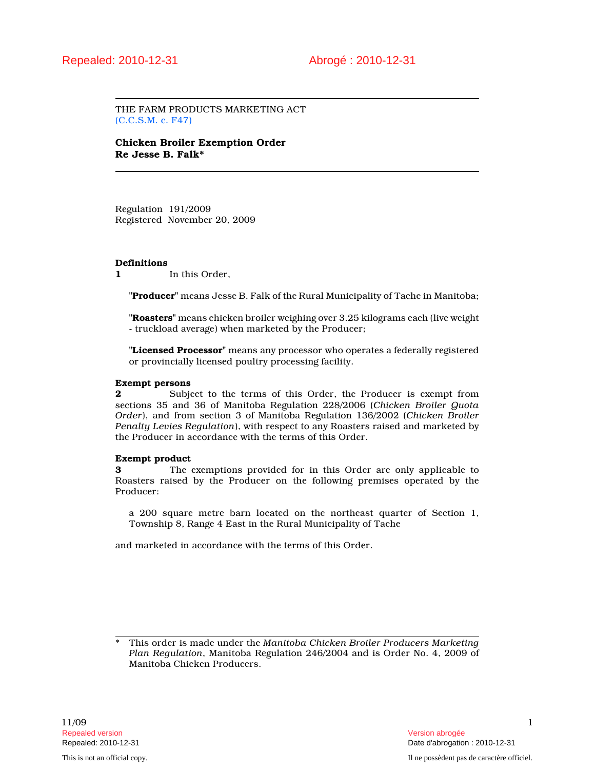THE FARM PRODUCTS MARKETING ACT (C.C.S.M. c. F47)

Chicken Broiler Exemption Order Re Jesse B. Falk\*

Regulation 191/2009 Registered November 20, 2009

#### Definitions

1 In this Order.

"Producer" means Jesse B. Falk of the Rural Municipality of Tache in Manitoba;

"Roasters" means chicken broiler weighing over 3.25 kilograms each (live weight - truckload average) when marketed by the Producer;

"Licensed Processor" means any processor who operates a federally registered or provincially licensed poultry processing facility.

### Exempt persons

2 Subject to the terms of this Order, the Producer is exempt from sections 35 and 36 of Manitoba Regulation 228/2006 (Chicken Broiler Quota Order), and from section 3 of Manitoba Regulation 136/2002 (Chicken Broiler Penalty Levies Regulation), with respect to any Roasters raised and marketed by the Producer in accordance with the terms of this Order.

#### Exempt product

3 The exemptions provided for in this Order are only applicable to Roasters raised by the Producer on the following premises operated by the Producer:

a 200 square metre barn located on the northeast quarter of Section 1, Township 8, Range 4 East in the Rural Municipality of Tache

and marketed in accordance with the terms of this Order.

This order is made under the Manitoba Chicken Broiler Producers Marketing Plan Regulation, Manitoba Regulation 246/2004 and is Order No. 4, 2009 of Manitoba Chicken Producers.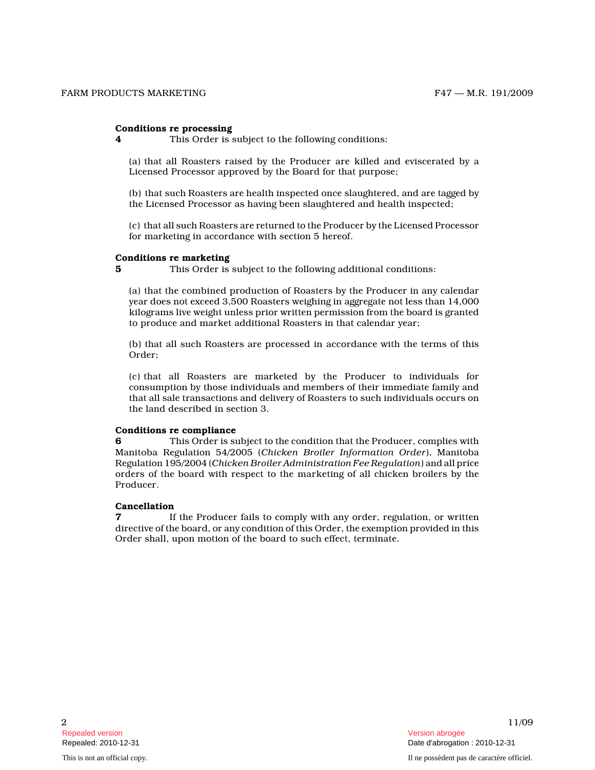### Conditions re processing

4 This Order is subject to the following conditions:

(a) that all Roasters raised by the Producer are killed and eviscerated by a Licensed Processor approved by the Board for that purpose;

(b) that such Roasters are health inspected once slaughtered, and are tagged by the Licensed Processor as having been slaughtered and health inspected;

(c) that all such Roasters are returned to the Producer by the Licensed Processor for marketing in accordance with section 5 hereof.

### Conditions re marketing

5 This Order is subject to the following additional conditions:

(a) that the combined production of Roasters by the Producer in any calendar year does not exceed 3,500 Roasters weighing in aggregate not less than 14,000 kilograms live weight unless prior written permission from the board is granted to produce and market additional Roasters in that calendar year;

(b) that all such Roasters are processed in accordance with the terms of this Order;

(c) that all Roasters are marketed by the Producer to individuals for consumption by those individuals and members of their immediate family and that all sale transactions and delivery of Roasters to such individuals occurs on the land described in section 3.

### Conditions re compliance

This Order is subject to the condition that the Producer, complies with Manitoba Regulation 54/2005 (Chicken Broiler Information Order), Manitoba Regulation 195/2004 (Chicken Broiler Administration Fee Regulation) and all price orders of the board with respect to the marketing of all chicken broilers by the Producer.

### Cancellation

**7** If the Producer fails to comply with any order, regulation, or written directive of the board, or any condition of this Order, the exemption provided in this Order shall, upon motion of the board to such effect, terminate.